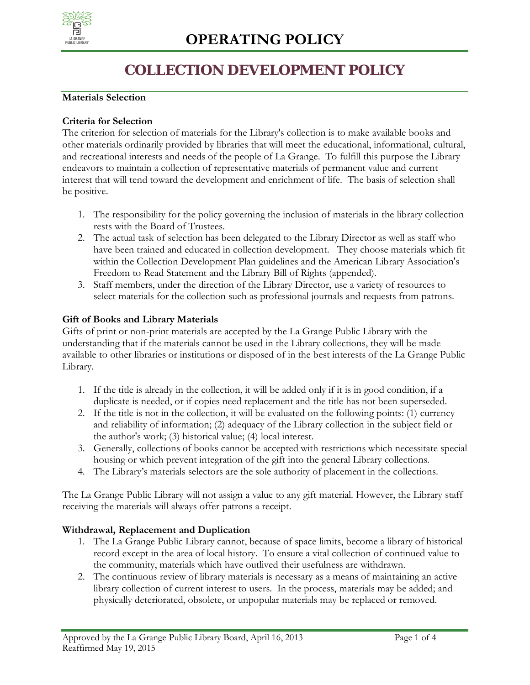

## **COLLECTION DEVELOPMENT POLICY**

#### **Materials Selection**

#### **Criteria for Selection**

The criterion for selection of materials for the Library's collection is to make available books and other materials ordinarily provided by libraries that will meet the educational, informational, cultural, and recreational interests and needs of the people of La Grange. To fulfill this purpose the Library endeavors to maintain a collection of representative materials of permanent value and current interest that will tend toward the development and enrichment of life. The basis of selection shall be positive.

- 1. The responsibility for the policy governing the inclusion of materials in the library collection rests with the Board of Trustees.
- 2. The actual task of selection has been delegated to the Library Director as well as staff who have been trained and educated in collection development. They choose materials which fit within the Collection Development Plan guidelines and the American Library Association's Freedom to Read Statement and the Library Bill of Rights (appended).
- 3. Staff members, under the direction of the Library Director, use a variety of resources to select materials for the collection such as professional journals and requests from patrons.

#### **Gift of Books and Library Materials**

Gifts of print or non-print materials are accepted by the La Grange Public Library with the understanding that if the materials cannot be used in the Library collections, they will be made available to other libraries or institutions or disposed of in the best interests of the La Grange Public Library.

- 1. If the title is already in the collection, it will be added only if it is in good condition, if a duplicate is needed, or if copies need replacement and the title has not been superseded.
- 2. If the title is not in the collection, it will be evaluated on the following points: (1) currency and reliability of information; (2) adequacy of the Library collection in the subject field or the author's work; (3) historical value; (4) local interest.
- 3. Generally, collections of books cannot be accepted with restrictions which necessitate special housing or which prevent integration of the gift into the general Library collections.
- 4. The Library's materials selectors are the sole authority of placement in the collections.

The La Grange Public Library will not assign a value to any gift material. However, the Library staff receiving the materials will always offer patrons a receipt.

### **Withdrawal, Replacement and Duplication**

- 1. The La Grange Public Library cannot, because of space limits, become a library of historical record except in the area of local history. To ensure a vital collection of continued value to the community, materials which have outlived their usefulness are withdrawn.
- 2. The continuous review of library materials is necessary as a means of maintaining an active library collection of current interest to users. In the process, materials may be added; and physically deteriorated, obsolete, or unpopular materials may be replaced or removed.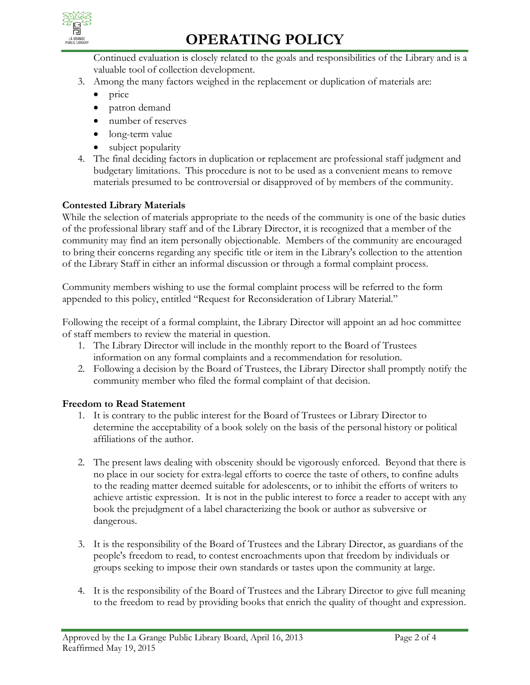

# **OPERATING POLICY**

Continued evaluation is closely related to the goals and responsibilities of the Library and is a valuable tool of collection development.

- 3. Among the many factors weighed in the replacement or duplication of materials are:
	- price
	- patron demand
	- number of reserves
	- long-term value
	- subject popularity
- 4. The final deciding factors in duplication or replacement are professional staff judgment and budgetary limitations. This procedure is not to be used as a convenient means to remove materials presumed to be controversial or disapproved of by members of the community.

### **Contested Library Materials**

While the selection of materials appropriate to the needs of the community is one of the basic duties of the professional library staff and of the Library Director, it is recognized that a member of the community may find an item personally objectionable. Members of the community are encouraged to bring their concerns regarding any specific title or item in the Library's collection to the attention of the Library Staff in either an informal discussion or through a formal complaint process.

Community members wishing to use the formal complaint process will be referred to the form appended to this policy, entitled "Request for Reconsideration of Library Material."

Following the receipt of a formal complaint, the Library Director will appoint an ad hoc committee of staff members to review the material in question.

- 1. The Library Director will include in the monthly report to the Board of Trustees information on any formal complaints and a recommendation for resolution.
- 2. Following a decision by the Board of Trustees, the Library Director shall promptly notify the community member who filed the formal complaint of that decision.

### **Freedom to Read Statement**

- 1. It is contrary to the public interest for the Board of Trustees or Library Director to determine the acceptability of a book solely on the basis of the personal history or political affiliations of the author.
- 2. The present laws dealing with obscenity should be vigorously enforced. Beyond that there is no place in our society for extra-legal efforts to coerce the taste of others, to confine adults to the reading matter deemed suitable for adolescents, or to inhibit the efforts of writers to achieve artistic expression. It is not in the public interest to force a reader to accept with any book the prejudgment of a label characterizing the book or author as subversive or dangerous.
- 3. It is the responsibility of the Board of Trustees and the Library Director, as guardians of the people's freedom to read, to contest encroachments upon that freedom by individuals or groups seeking to impose their own standards or tastes upon the community at large.
- 4. It is the responsibility of the Board of Trustees and the Library Director to give full meaning to the freedom to read by providing books that enrich the quality of thought and expression.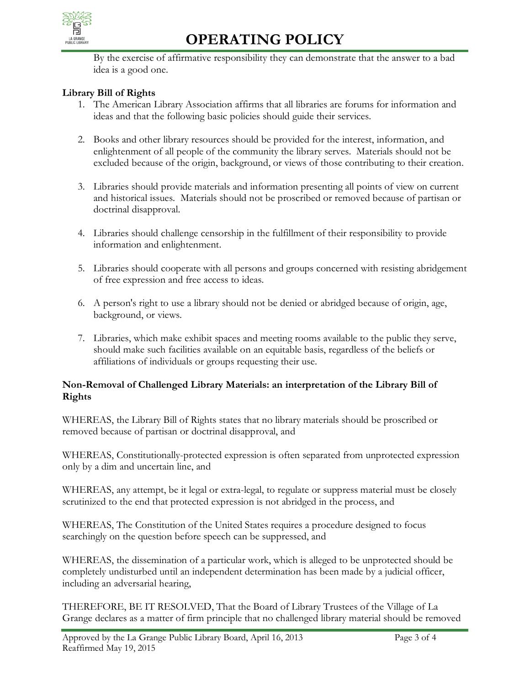

# **OPERATING POLICY**

By the exercise of affirmative responsibility they can demonstrate that the answer to a bad idea is a good one.

### **Library Bill of Rights**

- 1. The American Library Association affirms that all libraries are forums for information and ideas and that the following basic policies should guide their services.
- 2. Books and other library resources should be provided for the interest, information, and enlightenment of all people of the community the library serves. Materials should not be excluded because of the origin, background, or views of those contributing to their creation.
- 3. Libraries should provide materials and information presenting all points of view on current and historical issues. Materials should not be proscribed or removed because of partisan or doctrinal disapproval.
- 4. Libraries should challenge censorship in the fulfillment of their responsibility to provide information and enlightenment.
- 5. Libraries should cooperate with all persons and groups concerned with resisting abridgement of free expression and free access to ideas.
- 6. A person's right to use a library should not be denied or abridged because of origin, age, background, or views.
- 7. Libraries, which make exhibit spaces and meeting rooms available to the public they serve, should make such facilities available on an equitable basis, regardless of the beliefs or affiliations of individuals or groups requesting their use.

### **Non-Removal of Challenged Library Materials: an interpretation of the Library Bill of Rights**

WHEREAS, the Library Bill of Rights states that no library materials should be proscribed or removed because of partisan or doctrinal disapproval, and

WHEREAS, Constitutionally-protected expression is often separated from unprotected expression only by a dim and uncertain line, and

WHEREAS, any attempt, be it legal or extra-legal, to regulate or suppress material must be closely scrutinized to the end that protected expression is not abridged in the process, and

WHEREAS, The Constitution of the United States requires a procedure designed to focus searchingly on the question before speech can be suppressed, and

WHEREAS, the dissemination of a particular work, which is alleged to be unprotected should be completely undisturbed until an independent determination has been made by a judicial officer, including an adversarial hearing,

THEREFORE, BE IT RESOLVED, That the Board of Library Trustees of the Village of La Grange declares as a matter of firm principle that no challenged library material should be removed